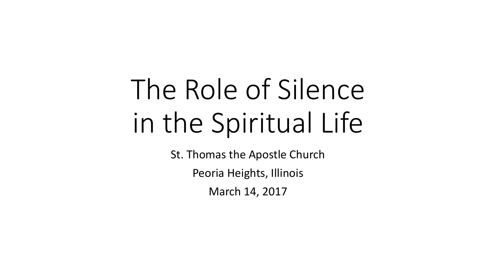# The Role of Silence in the Spiritual Life

St. Thomas the Apostle Church

Peoria Heights, Illinois

March 14, 2017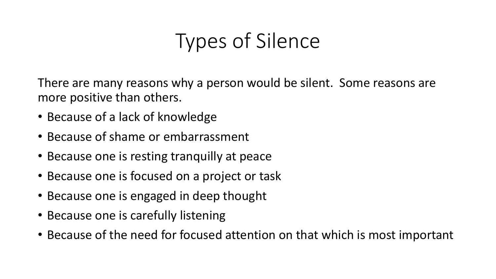# Types of Silence

There are many reasons why a person would be silent. Some reasons are more positive than others.

- Because of a lack of knowledge
- Because of shame or embarrassment
- Because one is resting tranquilly at peace
- Because one is focused on a project or task
- Because one is engaged in deep thought
- Because one is carefully listening
- Because of the need for focused attention on that which is most important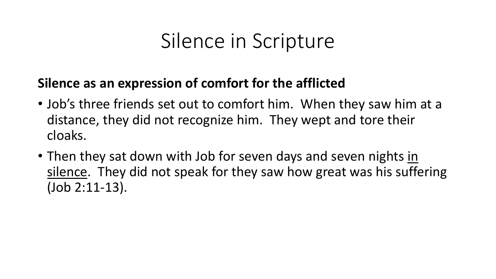### **Silence as an expression of comfort for the afflicted**

- Job's three friends set out to comfort him. When they saw him at a distance, they did not recognize him. They wept and tore their cloaks.
- Then they sat down with Job for seven days and seven nights in silence. They did not speak for they saw how great was his suffering (Job 2:11-13).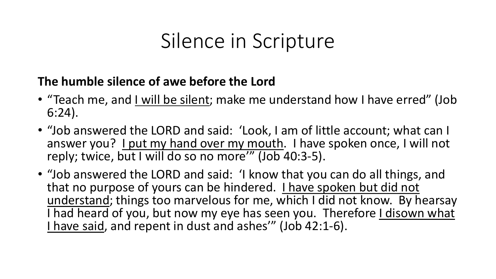### **The humble silence of awe before the Lord**

- "Teach me, and I will be silent; make me understand how I have erred" (Job 6:24).
- "Job answered the LORD and said: 'Look, I am of little account; what can I answer you? I put my hand over my mouth. I have spoken once, I will not reply; twice, but I will do so no more'" (Job 40:3-5).
- "Job answered the LORD and said: 'I know that you can do all things, and that no purpose of yours can be hindered. I have spoken but did not understand; things too marvelous for me, which I did not know. By hearsay I had heard of you, but now my eye has seen you. Therefore I disown what I have said, and repent in dust and ashes'" (Job 42:1-6).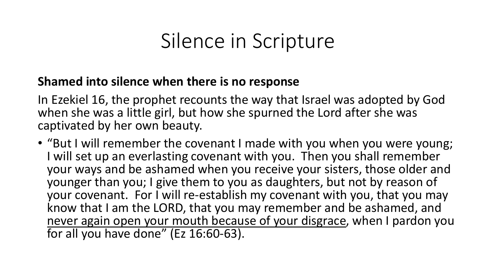#### **Shamed into silence when there is no response**

In Ezekiel 16, the prophet recounts the way that Israel was adopted by God when she was a little girl, but how she spurned the Lord after she was captivated by her own beauty.

• "But I will remember the covenant I made with you when you were young; I will set up an everlasting covenant with you. Then you shall remember your ways and be ashamed when you receive your sisters, those older and younger than you; I give them to you as daughters, but not by reason of your covenant. For I will re-establish my covenant with you, that you may know that I am the LORD, that you may remember and be ashamed, and never again open your mouth because of your disgrace, when I pardon you for all you have done" (Ez 16:60-63).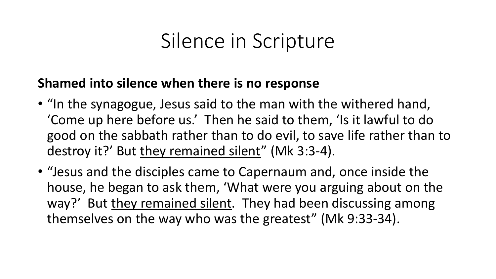### **Shamed into silence when there is no response**

- "In the synagogue, Jesus said to the man with the withered hand, 'Come up here before us.' Then he said to them, 'Is it lawful to do good on the sabbath rather than to do evil, to save life rather than to destroy it?' But they remained silent" (Mk 3:3-4).
- "Jesus and the disciples came to Capernaum and, once inside the house, he began to ask them, 'What were you arguing about on the way?' But they remained silent. They had been discussing among themselves on the way who was the greatest" (Mk 9:33-34).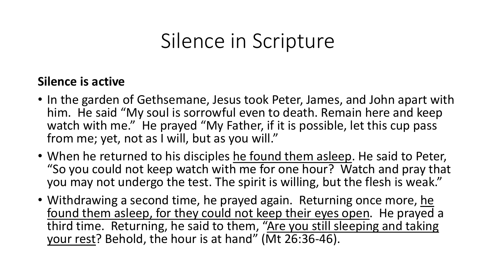#### **Silence is active**

- In the garden of Gethsemane, Jesus took Peter, James, and John apart with him. He said "My soul is sorrowful even to death. Remain here and keep watch with me." He prayed "My Father, if it is possible, let this cup pass from me; yet, not as I will, but as you will."
- When he returned to his disciples he found them asleep. He said to Peter, "So you could not keep watch with me for one hour? Watch and pray that you may not undergo the test. The spirit is willing, but the flesh is weak."
- Withdrawing a second time, he prayed again. Returning once more, he found them asleep, for they could not keep their eyes open. He prayed a third time. Returning, he said to them, "Are you still sleeping and taking your rest? Behold, the hour is at hand" (Mt 26:36-46).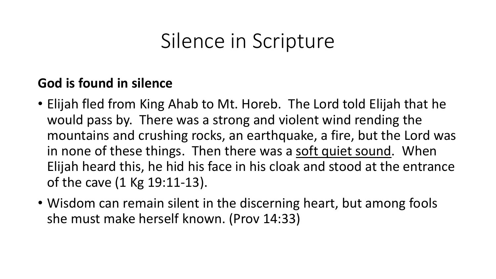### **God is found in silence**

- Elijah fled from King Ahab to Mt. Horeb. The Lord told Elijah that he would pass by. There was a strong and violent wind rending the mountains and crushing rocks, an earthquake, a fire, but the Lord was in none of these things. Then there was a soft quiet sound. When Elijah heard this, he hid his face in his cloak and stood at the entrance of the cave (1 Kg 19:11-13).
- Wisdom can remain silent in the discerning heart, but among fools she must make herself known. (Prov 14:33)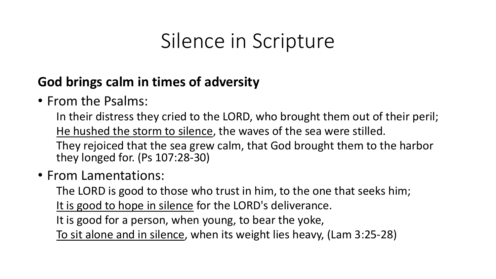### **God brings calm in times of adversity**

### • From the Psalms:

In their distress they cried to the LORD, who brought them out of their peril; He hushed the storm to silence, the waves of the sea were stilled.

They rejoiced that the sea grew calm, that God brought them to the harbor they longed for. (Ps 107:28-30)

### • From Lamentations:

The LORD is good to those who trust in him, to the one that seeks him;

It is good to hope in silence for the LORD's deliverance.

It is good for a person, when young, to bear the yoke,

To sit alone and in silence, when its weight lies heavy, (Lam 3:25-28)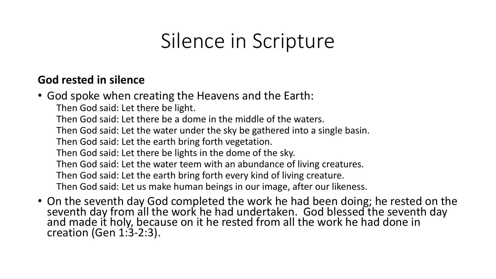#### **God rested in silence**

- God spoke when creating the Heavens and the Earth:
	- Then God said: Let there be light.
	- Then God said: Let there be a dome in the middle of the waters.
	- Then God said: Let the water under the sky be gathered into a single basin.
	- Then God said: Let the earth bring forth vegetation.
	- Then God said: Let there be lights in the dome of the sky.
	- Then God said: Let the water teem with an abundance of living creatures.
	- Then God said: Let the earth bring forth every kind of living creature.
	- Then God said: Let us make human beings in our image, after our likeness.
- On the seventh day God completed the work he had been doing; he rested on the seventh day from all the work he had undertaken. God blessed the seventh day and made it holy, because on it he rested from all the work he had done in creation (Gen 1:3-2:3).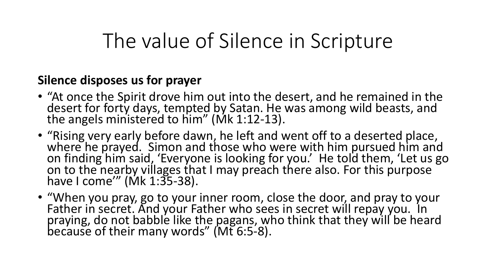#### **Silence disposes us for prayer**

- "At once the Spirit drove him out into the desert, and he remained in the desert for forty days, tempted by Satan. He was among wild beasts, and the angels ministered to him" (Mk 1:12-13).
- "Rising very early before dawn, he left and went off to a deserted place, where he prayed. Simon and those who were with him pursued him and on finding him said, 'Everyone is looking for you.' He told them, 'Let us go on to the nearby villages that I may preach there also. For this purpose have I come'" (Mk 1:35-38).
- "When you pray, go to your inner room, close the door, and pray to your Father in secret. And your Father who sees in secret will repay you. In praying, do not babble like the pagans, who think that they will be heard because of their many words" (Mt 6:5-8).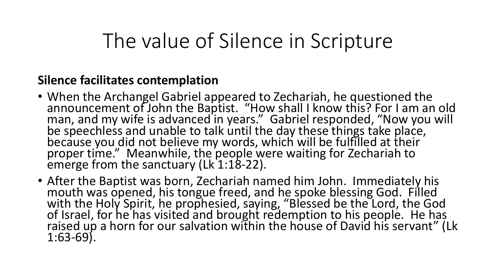#### **Silence facilitates contemplation**

- When the Archangel Gabriel appeared to Zechariah, he questioned the announcement of John the Baptist. "How shall I know this? For I am an old man, and my wife is advanced in years." Gabriel responded, "Now you will be speechless and unable to talk until the day these things take place, because you did not believe my words, which will be fulfilled at their proper time." Meanwhile, the people were waiting for Zechariah to emerge from the sanctuary ( $Lk$  1:18-22).
- After the Baptist was born, Zechariah named him John. Immediately his mouth was opened, his tongue freed, and he spoke blessing God. Filled with the Holy Spirit, he prophesied, saying, "Blessed be the Lord, the God of Israel, for he has visited and brought redemption to his people. He has raised up a horn for our salvation within the house of David his servant" (Lk 1:63-69).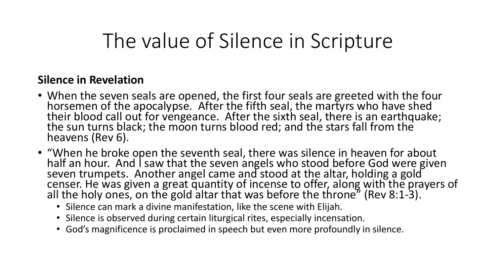#### **Silence in Revelation**

- When the seven seals are opened, the first four seals are greeted with the four horsemen of the apocalypse. After the fifth seal, the martyrs who have shed their blood call out for vengeance. After the sixth seal, there is an earthquake; the sun turns black; the moon turns blood red; and the stars fall from the heavens (Rev 6).
- "When he broke open the seventh seal, there was silence in heaven for about half an hour. And I saw that the seven angels who stood before God were given seven trumpets. Another angel came and stood at the altar, holding a gold censer. He was given a great quantity of incense to offer, along with the prayers of all the holy ones, on the gold altar that was before the throne" (Rev 8:1-3).
	- Silence can mark a divine manifestation, like the scene with Elijah.
	- Silence is observed during certain liturgical rites, especially incensation.
	- God's magnificence is proclaimed in speech but even more profoundly in silence.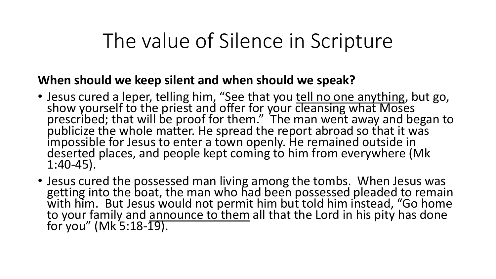#### **When should we keep silent and when should we speak?**

- Jesus cured a leper, telling him, "See that you **tell no one anything**, but go, show yourself to the priest and offer for your cleansing what Moses prescribed; that will be proof for them." The man went away and began to publicize the whole matter. He spread the report abroad so that it was impossible for Jesus to enter a town openly. He remained outside in deserted places, and people kept coming to him from everywhere (Mk 1:40-45).
- Jesus cured the possessed man living among the tombs. When Jesus was getting into the boat, the man who had been possessed pleaded to remain with him. But Jesus would not permit him but told him instead, "Go home to your family and announce to them all that the Lord in his pity has done for you" (Mk 5:18-19).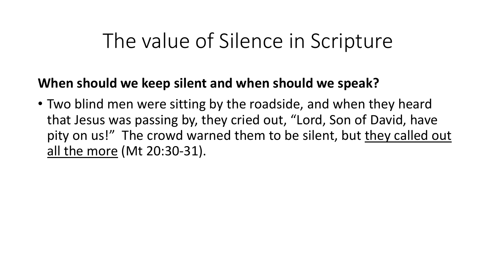### **When should we keep silent and when should we speak?**

• Two blind men were sitting by the roadside, and when they heard that Jesus was passing by, they cried out, "Lord, Son of David, have pity on us!" The crowd warned them to be silent, but they called out all the more (Mt 20:30-31).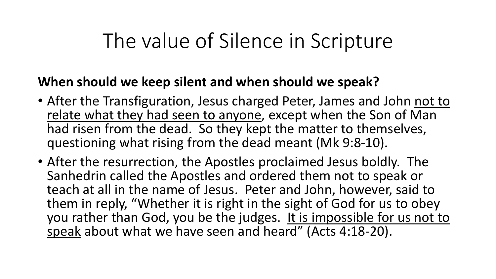### **When should we keep silent and when should we speak?**

- After the Transfiguration, Jesus charged Peter, James and John not to relate what they had seen to anyone, except when the Son of Man had risen from the dead. So they kept the matter to themselves, questioning what rising from the dead meant (Mk 9:8-10).
- After the resurrection, the Apostles proclaimed Jesus boldly. The Sanhedrin called the Apostles and ordered them not to speak or teach at all in the name of Jesus. Peter and John, however, said to them in reply, "Whether it is right in the sight of God for us to obey you rather than God, you be the judges. It is impossible for us not to speak about what we have seen and heard" (Acts 4:18-20).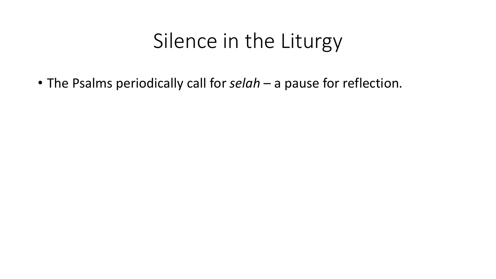• The Psalms periodically call for *selah* – a pause for reflection.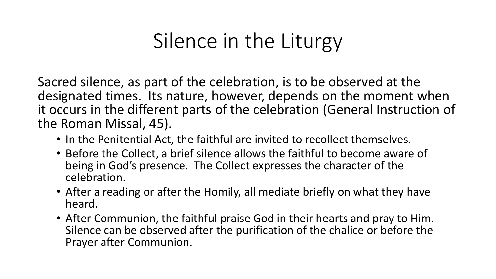Sacred silence, as part of the celebration, is to be observed at the designated times. Its nature, however, depends on the moment when it occurs in the different parts of the celebration (General Instruction of the Roman Missal, 45).

- In the Penitential Act, the faithful are invited to recollect themselves.
- Before the Collect, a brief silence allows the faithful to become aware of being in God's presence. The Collect expresses the character of the celebration.
- After a reading or after the Homily, all mediate briefly on what they have heard.
- After Communion, the faithful praise God in their hearts and pray to Him. Silence can be observed after the purification of the chalice or before the Prayer after Communion.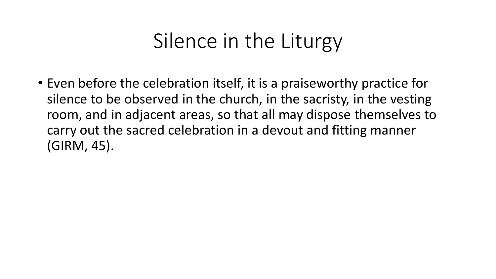• Even before the celebration itself, it is a praiseworthy practice for silence to be observed in the church, in the sacristy, in the vesting room, and in adjacent areas, so that all may dispose themselves to carry out the sacred celebration in a devout and fitting manner (GIRM, 45).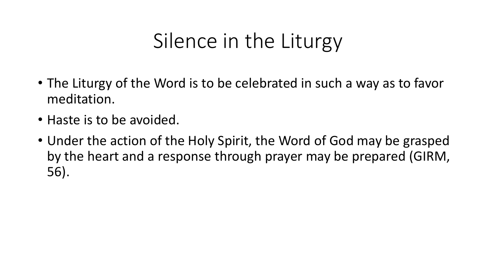- The Liturgy of the Word is to be celebrated in such a way as to favor meditation.
- Haste is to be avoided.
- Under the action of the Holy Spirit, the Word of God may be grasped by the heart and a response through prayer may be prepared (GIRM, 56).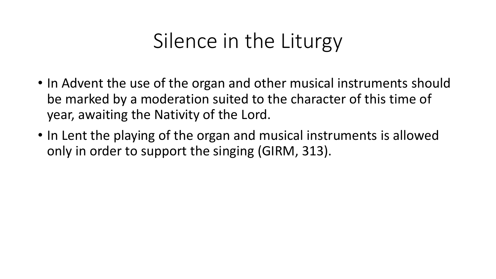- In Advent the use of the organ and other musical instruments should be marked by a moderation suited to the character of this time of year, awaiting the Nativity of the Lord.
- In Lent the playing of the organ and musical instruments is allowed only in order to support the singing (GIRM, 313).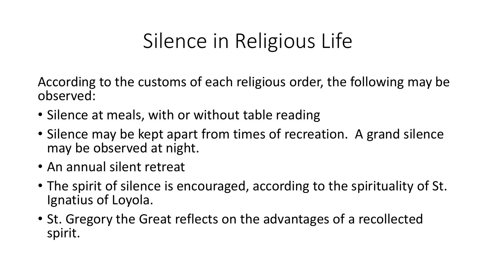# Silence in Religious Life

According to the customs of each religious order, the following may be observed:

- Silence at meals, with or without table reading
- Silence may be kept apart from times of recreation. A grand silence may be observed at night.
- An annual silent retreat
- The spirit of silence is encouraged, according to the spirituality of St. Ignatius of Loyola.
- St. Gregory the Great reflects on the advantages of a recollected spirit.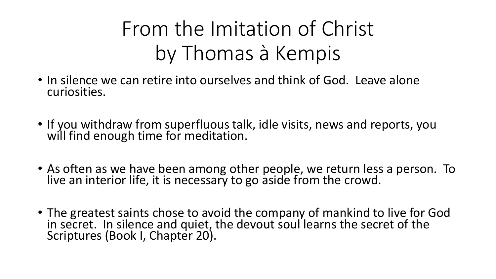# From the Imitation of Christ by Thomas à Kempis

- In silence we can retire into ourselves and think of God. Leave alone curiosities.
- If you withdraw from superfluous talk, idle visits, news and reports, you will find enough time for meditation.
- As often as we have been among other people, we return less a person. To live an interior life, it is necessary to go aside from the crowd.
- The greatest saints chose to avoid the company of mankind to live for God in secret. In silence and quiet, the devout soul learns the secret of the Scriptures (Book I, Chapter 20).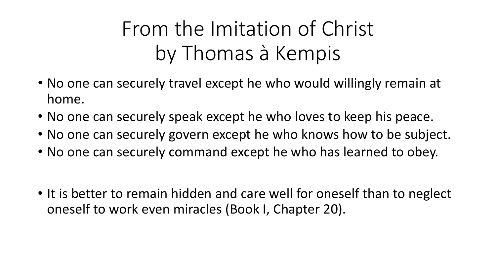# From the Imitation of Christ by Thomas à Kempis

- No one can securely travel except he who would willingly remain at home.
- No one can securely speak except he who loves to keep his peace.
- No one can securely govern except he who knows how to be subject.
- No one can securely command except he who has learned to obey.
- It is better to remain hidden and care well for oneself than to neglect oneself to work even miracles (Book I, Chapter 20).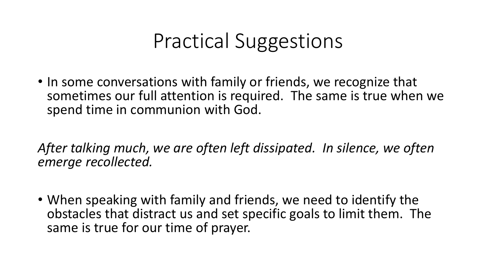### Practical Suggestions

• In some conversations with family or friends, we recognize that sometimes our full attention is required. The same is true when we spend time in communion with God.

*After talking much, we are often left dissipated. In silence, we often emerge recollected.*

• When speaking with family and friends, we need to identify the obstacles that distract us and set specific goals to limit them. The same is true for our time of prayer.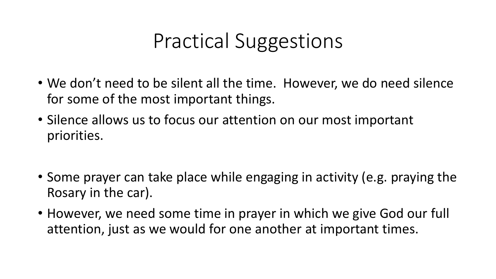# Practical Suggestions

- We don't need to be silent all the time. However, we do need silence for some of the most important things.
- Silence allows us to focus our attention on our most important priorities.
- Some prayer can take place while engaging in activity (e.g. praying the Rosary in the car).
- However, we need some time in prayer in which we give God our full attention, just as we would for one another at important times.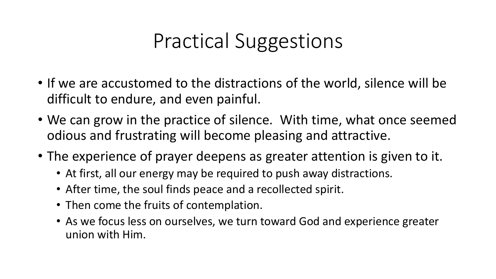# Practical Suggestions

- If we are accustomed to the distractions of the world, silence will be difficult to endure, and even painful.
- We can grow in the practice of silence. With time, what once seemed odious and frustrating will become pleasing and attractive.
- The experience of prayer deepens as greater attention is given to it.
	- At first, all our energy may be required to push away distractions.
	- After time, the soul finds peace and a recollected spirit.
	- Then come the fruits of contemplation.
	- As we focus less on ourselves, we turn toward God and experience greater union with Him.